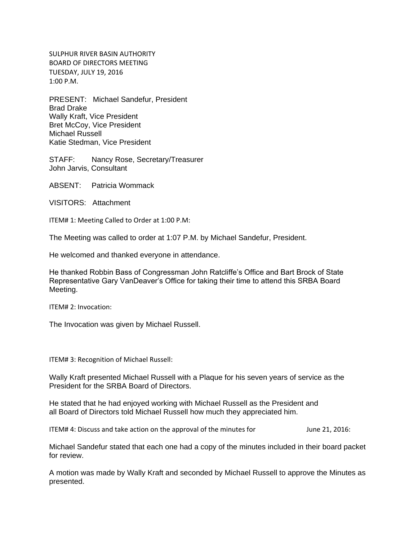SULPHUR RIVER BASIN AUTHORITY BOARD OF DIRECTORS MEETING TUESDAY, JULY 19, 2016 1:00 P.M.

PRESENT: Michael Sandefur, President Brad Drake Wally Kraft, Vice President Bret McCoy, Vice President Michael Russell Katie Stedman, Vice President

STAFF: Nancy Rose, Secretary/Treasurer John Jarvis, Consultant

ABSENT: Patricia Wommack

VISITORS: Attachment

ITEM# 1: Meeting Called to Order at 1:00 P.M:

The Meeting was called to order at 1:07 P.M. by Michael Sandefur, President.

He welcomed and thanked everyone in attendance.

He thanked Robbin Bass of Congressman John Ratcliffe's Office and Bart Brock of State Representative Gary VanDeaver's Office for taking their time to attend this SRBA Board Meeting.

ITEM# 2: Invocation:

The Invocation was given by Michael Russell.

ITEM# 3: Recognition of Michael Russell:

Wally Kraft presented Michael Russell with a Plaque for his seven years of service as the President for the SRBA Board of Directors.

He stated that he had enjoyed working with Michael Russell as the President and all Board of Directors told Michael Russell how much they appreciated him.

ITEM# 4: Discuss and take action on the approval of the minutes for June 21, 2016:

Michael Sandefur stated that each one had a copy of the minutes included in their board packet for review.

A motion was made by Wally Kraft and seconded by Michael Russell to approve the Minutes as presented.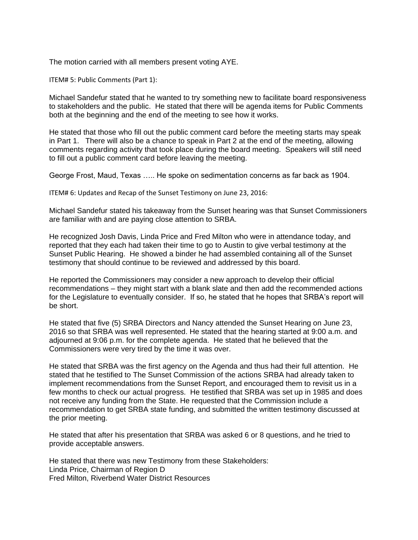The motion carried with all members present voting AYE.

ITEM# 5: Public Comments (Part 1):

Michael Sandefur stated that he wanted to try something new to facilitate board responsiveness to stakeholders and the public. He stated that there will be agenda items for Public Comments both at the beginning and the end of the meeting to see how it works.

He stated that those who fill out the public comment card before the meeting starts may speak in Part 1. There will also be a chance to speak in Part 2 at the end of the meeting, allowing comments regarding activity that took place during the board meeting. Speakers will still need to fill out a public comment card before leaving the meeting.

George Frost, Maud, Texas ….. He spoke on sedimentation concerns as far back as 1904.

ITEM# 6: Updates and Recap of the Sunset Testimony on June 23, 2016:

Michael Sandefur stated his takeaway from the Sunset hearing was that Sunset Commissioners are familiar with and are paying close attention to SRBA.

He recognized Josh Davis, Linda Price and Fred Milton who were in attendance today, and reported that they each had taken their time to go to Austin to give verbal testimony at the Sunset Public Hearing. He showed a binder he had assembled containing all of the Sunset testimony that should continue to be reviewed and addressed by this board.

He reported the Commissioners may consider a new approach to develop their official recommendations – they might start with a blank slate and then add the recommended actions for the Legislature to eventually consider. If so, he stated that he hopes that SRBA's report will be short.

He stated that five (5) SRBA Directors and Nancy attended the Sunset Hearing on June 23, 2016 so that SRBA was well represented. He stated that the hearing started at 9:00 a.m. and adjourned at 9:06 p.m. for the complete agenda. He stated that he believed that the Commissioners were very tired by the time it was over.

He stated that SRBA was the first agency on the Agenda and thus had their full attention. He stated that he testified to The Sunset Commission of the actions SRBA had already taken to implement recommendations from the Sunset Report, and encouraged them to revisit us in a few months to check our actual progress. He testified that SRBA was set up in 1985 and does not receive any funding from the State. He requested that the Commission include a recommendation to get SRBA state funding, and submitted the written testimony discussed at the prior meeting.

He stated that after his presentation that SRBA was asked 6 or 8 questions, and he tried to provide acceptable answers.

He stated that there was new Testimony from these Stakeholders: Linda Price, Chairman of Region D Fred Milton, Riverbend Water District Resources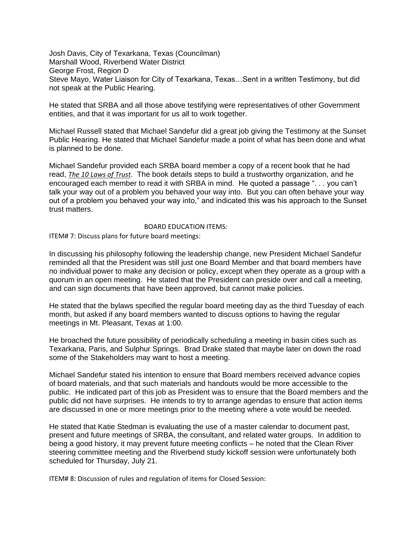Josh Davis, City of Texarkana, Texas (Councilman) Marshall Wood, Riverbend Water District George Frost, Region D Steve Mayo, Water Liaison for City of Texarkana, Texas…Sent in a written Testimony, but did not speak at the Public Hearing.

He stated that SRBA and all those above testifying were representatives of other Government entities, and that it was important for us all to work together.

Michael Russell stated that Michael Sandefur did a great job giving the Testimony at the Sunset Public Hearing. He stated that Michael Sandefur made a point of what has been done and what is planned to be done.

Michael Sandefur provided each SRBA board member a copy of a recent book that he had read, *The 10 Laws of Trust*. The book details steps to build a trustworthy organization, and he encouraged each member to read it with SRBA in mind. He quoted a passage ". . . you can't talk your way out of a problem you behaved your way into. But you can often behave your way out of a problem you behaved your way into," and indicated this was his approach to the Sunset trust matters.

## BOARD EDUCATION ITEMS:

ITEM# 7: Discuss plans for future board meetings:

In discussing his philosophy following the leadership change, new President Michael Sandefur reminded all that the President was still just one Board Member and that board members have no individual power to make any decision or policy, except when they operate as a group with a quorum in an open meeting. He stated that the President can preside over and call a meeting, and can sign documents that have been approved, but cannot make policies.

He stated that the bylaws specified the regular board meeting day as the third Tuesday of each month, but asked if any board members wanted to discuss options to having the regular meetings in Mt. Pleasant, Texas at 1:00.

He broached the future possibility of periodically scheduling a meeting in basin cities such as Texarkana, Paris, and Sulphur Springs. Brad Drake stated that maybe later on down the road some of the Stakeholders may want to host a meeting.

Michael Sandefur stated his intention to ensure that Board members received advance copies of board materials, and that such materials and handouts would be more accessible to the public. He indicated part of this job as President was to ensure that the Board members and the public did not have surprises. He intends to try to arrange agendas to ensure that action items are discussed in one or more meetings prior to the meeting where a vote would be needed.

He stated that Katie Stedman is evaluating the use of a master calendar to document past, present and future meetings of SRBA, the consultant, and related water groups. In addition to being a good history, it may prevent future meeting conflicts – he noted that the Clean River steering committee meeting and the Riverbend study kickoff session were unfortunately both scheduled for Thursday, July 21.

ITEM# 8: Discussion of rules and regulation of items for Closed Session: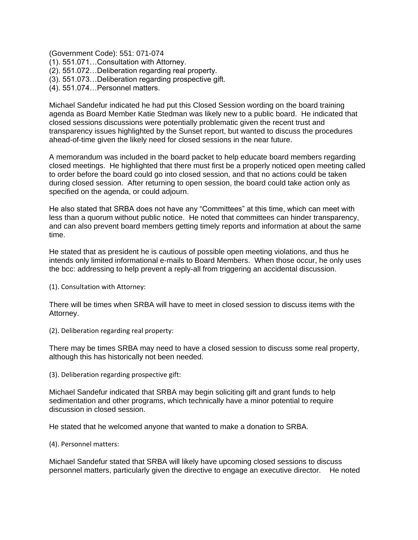(Government Code): 551: 071-074

- (1). 551.071…Consultation with Attorney.
- (2). 551.072…Deliberation regarding real property.
- (3). 551.073…Deliberation regarding prospective gift.
- (4). 551.074…Personnel matters.

Michael Sandefur indicated he had put this Closed Session wording on the board training agenda as Board Member Katie Stedman was likely new to a public board. He indicated that closed sessions discussions were potentially problematic given the recent trust and transparency issues highlighted by the Sunset report, but wanted to discuss the procedures ahead-of-time given the likely need for closed sessions in the near future.

A memorandum was included in the board packet to help educate board members regarding closed meetings. He highlighted that there must first be a properly noticed open meeting called to order before the board could go into closed session, and that no actions could be taken during closed session. After returning to open session, the board could take action only as specified on the agenda, or could adjourn.

He also stated that SRBA does not have any "Committees" at this time, which can meet with less than a quorum without public notice. He noted that committees can hinder transparency, and can also prevent board members getting timely reports and information at about the same time.

He stated that as president he is cautious of possible open meeting violations, and thus he intends only limited informational e-mails to Board Members. When those occur, he only uses the bcc: addressing to help prevent a reply-all from triggering an accidental discussion.

(1). Consultation with Attorney:

There will be times when SRBA will have to meet in closed session to discuss items with the Attorney.

(2). Deliberation regarding real property:

There may be times SRBA may need to have a closed session to discuss some real property, although this has historically not been needed.

(3). Deliberation regarding prospective gift:

Michael Sandefur indicated that SRBA may begin soliciting gift and grant funds to help sedimentation and other programs, which technically have a minor potential to require discussion in closed session.

He stated that he welcomed anyone that wanted to make a donation to SRBA.

(4). Personnel matters:

Michael Sandefur stated that SRBA will likely have upcoming closed sessions to discuss personnel matters, particularly given the directive to engage an executive director. He noted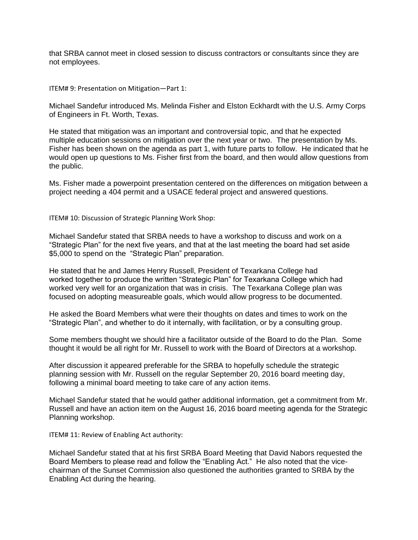that SRBA cannot meet in closed session to discuss contractors or consultants since they are not employees.

ITEM# 9: Presentation on Mitigation—Part 1:

Michael Sandefur introduced Ms. Melinda Fisher and Elston Eckhardt with the U.S. Army Corps of Engineers in Ft. Worth, Texas.

He stated that mitigation was an important and controversial topic, and that he expected multiple education sessions on mitigation over the next year or two. The presentation by Ms. Fisher has been shown on the agenda as part 1, with future parts to follow. He indicated that he would open up questions to Ms. Fisher first from the board, and then would allow questions from the public.

Ms. Fisher made a powerpoint presentation centered on the differences on mitigation between a project needing a 404 permit and a USACE federal project and answered questions.

ITEM# 10: Discussion of Strategic Planning Work Shop:

Michael Sandefur stated that SRBA needs to have a workshop to discuss and work on a "Strategic Plan" for the next five years, and that at the last meeting the board had set aside \$5,000 to spend on the "Strategic Plan" preparation.

He stated that he and James Henry Russell, President of Texarkana College had worked together to produce the written "Strategic Plan" for Texarkana College which had worked very well for an organization that was in crisis. The Texarkana College plan was focused on adopting measureable goals, which would allow progress to be documented.

He asked the Board Members what were their thoughts on dates and times to work on the "Strategic Plan", and whether to do it internally, with facilitation, or by a consulting group.

Some members thought we should hire a facilitator outside of the Board to do the Plan. Some thought it would be all right for Mr. Russell to work with the Board of Directors at a workshop.

After discussion it appeared preferable for the SRBA to hopefully schedule the strategic planning session with Mr. Russell on the regular September 20, 2016 board meeting day, following a minimal board meeting to take care of any action items.

Michael Sandefur stated that he would gather additional information, get a commitment from Mr. Russell and have an action item on the August 16, 2016 board meeting agenda for the Strategic Planning workshop.

ITEM# 11: Review of Enabling Act authority:

Michael Sandefur stated that at his first SRBA Board Meeting that David Nabors requested the Board Members to please read and follow the "Enabling Act." He also noted that the vicechairman of the Sunset Commission also questioned the authorities granted to SRBA by the Enabling Act during the hearing.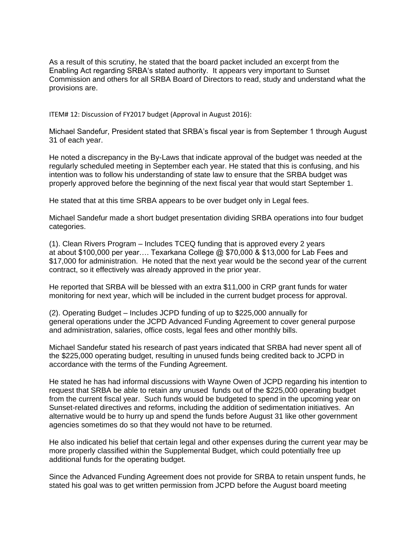As a result of this scrutiny, he stated that the board packet included an excerpt from the Enabling Act regarding SRBA's stated authority. It appears very important to Sunset Commission and others for all SRBA Board of Directors to read, study and understand what the provisions are.

ITEM# 12: Discussion of FY2017 budget (Approval in August 2016):

Michael Sandefur, President stated that SRBA's fiscal year is from September 1 through August 31 of each year.

He noted a discrepancy in the By-Laws that indicate approval of the budget was needed at the regularly scheduled meeting in September each year. He stated that this is confusing, and his intention was to follow his understanding of state law to ensure that the SRBA budget was properly approved before the beginning of the next fiscal year that would start September 1.

He stated that at this time SRBA appears to be over budget only in Legal fees.

Michael Sandefur made a short budget presentation dividing SRBA operations into four budget categories.

(1). Clean Rivers Program – Includes TCEQ funding that is approved every 2 years at about \$100,000 per year…. Texarkana College @ \$70,000 & \$13,000 for Lab Fees and \$17,000 for administration. He noted that the next year would be the second year of the current contract, so it effectively was already approved in the prior year.

He reported that SRBA will be blessed with an extra \$11,000 in CRP grant funds for water monitoring for next year, which will be included in the current budget process for approval.

(2). Operating Budget – Includes JCPD funding of up to \$225,000 annually for general operations under the JCPD Advanced Funding Agreement to cover general purpose and administration, salaries, office costs, legal fees and other monthly bills.

Michael Sandefur stated his research of past years indicated that SRBA had never spent all of the \$225,000 operating budget, resulting in unused funds being credited back to JCPD in accordance with the terms of the Funding Agreement.

He stated he has had informal discussions with Wayne Owen of JCPD regarding his intention to request that SRBA be able to retain any unused funds out of the \$225,000 operating budget from the current fiscal year. Such funds would be budgeted to spend in the upcoming year on Sunset-related directives and reforms, including the addition of sedimentation initiatives. An alternative would be to hurry up and spend the funds before August 31 like other government agencies sometimes do so that they would not have to be returned.

He also indicated his belief that certain legal and other expenses during the current year may be more properly classified within the Supplemental Budget, which could potentially free up additional funds for the operating budget.

Since the Advanced Funding Agreement does not provide for SRBA to retain unspent funds, he stated his goal was to get written permission from JCPD before the August board meeting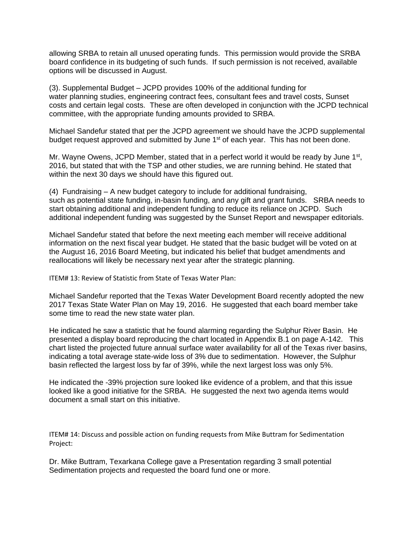allowing SRBA to retain all unused operating funds. This permission would provide the SRBA board confidence in its budgeting of such funds. If such permission is not received, available options will be discussed in August.

(3). Supplemental Budget – JCPD provides 100% of the additional funding for water planning studies, engineering contract fees, consultant fees and travel costs, Sunset costs and certain legal costs. These are often developed in conjunction with the JCPD technical committee, with the appropriate funding amounts provided to SRBA.

Michael Sandefur stated that per the JCPD agreement we should have the JCPD supplemental budget request approved and submitted by June 1<sup>st</sup> of each year. This has not been done.

Mr. Wayne Owens, JCPD Member, stated that in a perfect world it would be ready by June 1<sup>st</sup>, 2016, but stated that with the TSP and other studies, we are running behind. He stated that within the next 30 days we should have this figured out.

(4) Fundraising – A new budget category to include for additional fundraising, such as potential state funding, in-basin funding, and any gift and grant funds. SRBA needs to start obtaining additional and independent funding to reduce its reliance on JCPD. Such additional independent funding was suggested by the Sunset Report and newspaper editorials.

Michael Sandefur stated that before the next meeting each member will receive additional information on the next fiscal year budget. He stated that the basic budget will be voted on at the August 16, 2016 Board Meeting, but indicated his belief that budget amendments and reallocations will likely be necessary next year after the strategic planning.

ITEM# 13: Review of Statistic from State of Texas Water Plan:

Michael Sandefur reported that the Texas Water Development Board recently adopted the new 2017 Texas State Water Plan on May 19, 2016. He suggested that each board member take some time to read the new state water plan.

He indicated he saw a statistic that he found alarming regarding the Sulphur River Basin. He presented a display board reproducing the chart located in Appendix B.1 on page A-142. This chart listed the projected future annual surface water availability for all of the Texas river basins, indicating a total average state-wide loss of 3% due to sedimentation. However, the Sulphur basin reflected the largest loss by far of 39%, while the next largest loss was only 5%.

He indicated the -39% projection sure looked like evidence of a problem, and that this issue looked like a good initiative for the SRBA. He suggested the next two agenda items would document a small start on this initiative.

ITEM# 14: Discuss and possible action on funding requests from Mike Buttram for Sedimentation Project:

Dr. Mike Buttram, Texarkana College gave a Presentation regarding 3 small potential Sedimentation projects and requested the board fund one or more.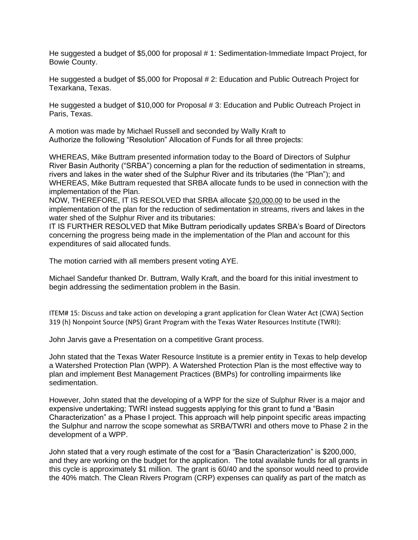He suggested a budget of \$5,000 for proposal # 1: Sedimentation-Immediate Impact Project, for Bowie County.

He suggested a budget of \$5,000 for Proposal # 2: Education and Public Outreach Project for Texarkana, Texas.

He suggested a budget of \$10,000 for Proposal # 3: Education and Public Outreach Project in Paris, Texas.

A motion was made by Michael Russell and seconded by Wally Kraft to Authorize the following "Resolution" Allocation of Funds for all three projects:

WHEREAS, Mike Buttram presented information today to the Board of Directors of Sulphur River Basin Authority ("SRBA") concerning a plan for the reduction of sedimentation in streams, rivers and lakes in the water shed of the Sulphur River and its tributaries (the "Plan"); and WHEREAS, Mike Buttram requested that SRBA allocate funds to be used in connection with the implementation of the Plan.

NOW, THEREFORE, IT IS RESOLVED that SRBA allocate \$20,000.00 to be used in the implementation of the plan for the reduction of sedimentation in streams, rivers and lakes in the water shed of the Sulphur River and its tributaries:

IT IS FURTHER RESOLVED that Mike Buttram periodically updates SRBA's Board of Directors concerning the progress being made in the implementation of the Plan and account for this expenditures of said allocated funds.

The motion carried with all members present voting AYE.

Michael Sandefur thanked Dr. Buttram, Wally Kraft, and the board for this initial investment to begin addressing the sedimentation problem in the Basin.

ITEM# 15: Discuss and take action on developing a grant application for Clean Water Act (CWA) Section 319 (h) Nonpoint Source (NPS) Grant Program with the Texas Water Resources Institute (TWRI):

John Jarvis gave a Presentation on a competitive Grant process.

John stated that the Texas Water Resource Institute is a premier entity in Texas to help develop a Watershed Protection Plan (WPP). A Watershed Protection Plan is the most effective way to plan and implement Best Management Practices (BMPs) for controlling impairments like sedimentation.

However, John stated that the developing of a WPP for the size of Sulphur River is a major and expensive undertaking; TWRI instead suggests applying for this grant to fund a "Basin Characterization" as a Phase I project. This approach will help pinpoint specific areas impacting the Sulphur and narrow the scope somewhat as SRBA/TWRI and others move to Phase 2 in the development of a WPP.

John stated that a very rough estimate of the cost for a "Basin Characterization" is \$200,000, and they are working on the budget for the application. The total available funds for all grants in this cycle is approximately \$1 million. The grant is 60/40 and the sponsor would need to provide the 40% match. The Clean Rivers Program (CRP) expenses can qualify as part of the match as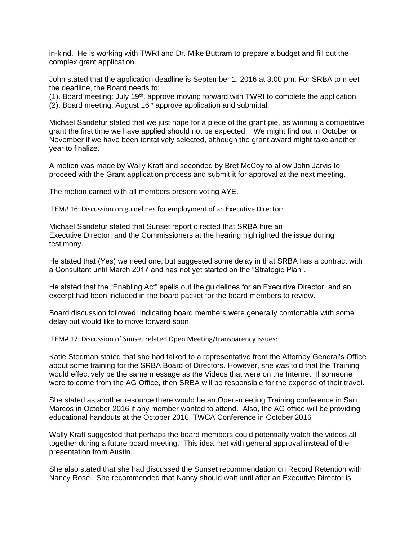in-kind. He is working with TWRI and Dr. Mike Buttram to prepare a budget and fill out the complex grant application.

John stated that the application deadline is September 1, 2016 at 3:00 pm. For SRBA to meet the deadline, the Board needs to:

(1). Board meeting: July  $19<sup>th</sup>$ , approve moving forward with TWRI to complete the application.

 $(2)$ . Board meeting: August 16<sup>th</sup> approve application and submittal.

Michael Sandefur stated that we just hope for a piece of the grant pie, as winning a competitive grant the first time we have applied should not be expected. We might find out in October or November if we have been tentatively selected, although the grant award might take another year to finalize.

A motion was made by Wally Kraft and seconded by Bret McCoy to allow John Jarvis to proceed with the Grant application process and submit it for approval at the next meeting.

The motion carried with all members present voting AYE.

ITEM# 16: Discussion on guidelines for employment of an Executive Director:

Michael Sandefur stated that Sunset report directed that SRBA hire an Executive Director, and the Commissioners at the hearing highlighted the issue during testimony.

He stated that (Yes) we need one, but suggested some delay in that SRBA has a contract with a Consultant until March 2017 and has not yet started on the "Strategic Plan".

He stated that the "Enabling Act" spells out the guidelines for an Executive Director, and an excerpt had been included in the board packet for the board members to review.

Board discussion followed, indicating board members were generally comfortable with some delay but would like to move forward soon.

ITEM# 17: Discussion of Sunset related Open Meeting/transparency issues:

Katie Stedman stated that she had talked to a representative from the Attorney General's Office about some training for the SRBA Board of Directors. However, she was told that the Training would effectively be the same message as the Videos that were on the Internet. If someone were to come from the AG Office, then SRBA will be responsible for the expense of their travel.

She stated as another resource there would be an Open-meeting Training conference in San Marcos in October 2016 if any member wanted to attend. Also, the AG office will be providing educational handouts at the October 2016, TWCA Conference in October 2016

Wally Kraft suggested that perhaps the board members could potentially watch the videos all together during a future board meeting. This idea met with general approval instead of the presentation from Austin.

She also stated that she had discussed the Sunset recommendation on Record Retention with Nancy Rose. She recommended that Nancy should wait until after an Executive Director is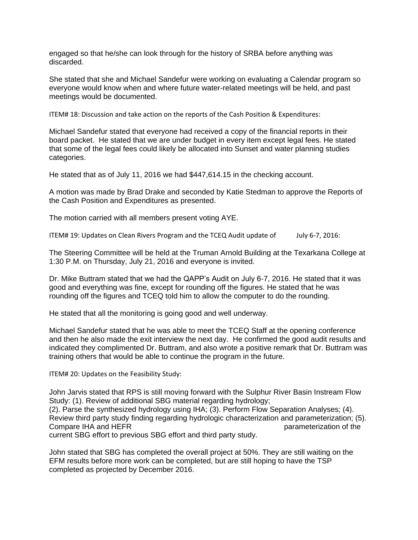engaged so that he/she can look through for the history of SRBA before anything was discarded.

She stated that she and Michael Sandefur were working on evaluating a Calendar program so everyone would know when and where future water-related meetings will be held, and past meetings would be documented.

ITEM# 18: Discussion and take action on the reports of the Cash Position & Expenditures:

Michael Sandefur stated that everyone had received a copy of the financial reports in their board packet. He stated that we are under budget in every item except legal fees. He stated that some of the legal fees could likely be allocated into Sunset and water planning studies categories.

He stated that as of July 11, 2016 we had \$447,614.15 in the checking account.

A motion was made by Brad Drake and seconded by Katie Stedman to approve the Reports of the Cash Position and Expenditures as presented.

The motion carried with all members present voting AYE.

ITEM# 19: Updates on Clean Rivers Program and the TCEQ Audit update of July 6-7, 2016:

The Steering Committee will be held at the Truman Arnold Building at the Texarkana College at 1:30 P.M. on Thursday, July 21, 2016 and everyone is invited.

Dr. Mike Buttram stated that we had the QAPP's Audit on July 6-7, 2016. He stated that it was good and everything was fine, except for rounding off the figures. He stated that he was rounding off the figures and TCEQ told him to allow the computer to do the rounding.

He stated that all the monitoring is going good and well underway.

Michael Sandefur stated that he was able to meet the TCEQ Staff at the opening conference and then he also made the exit interview the next day. He confirmed the good audit results and indicated they complimented Dr. Buttram, and also wrote a positive remark that Dr. Buttram was training others that would be able to continue the program in the future.

ITEM# 20: Updates on the Feasibility Study:

John Jarvis stated that RPS is still moving forward with the Sulphur River Basin Instream Flow Study: (1). Review of additional SBG material regarding hydrology;

(2). Parse the synthesized hydrology using IHA; (3). Perform Flow Separation Analyses; (4). Review third party study finding regarding hydrologic characterization and parameterization; (5). Compare IHA and HEFR parameterization of the parameterization of the parameterization of the current SBG effort to previous SBG effort and third party study.

John stated that SBG has completed the overall project at 50%. They are still waiting on the EFM results before more work can be completed, but are still hoping to have the TSP completed as projected by December 2016.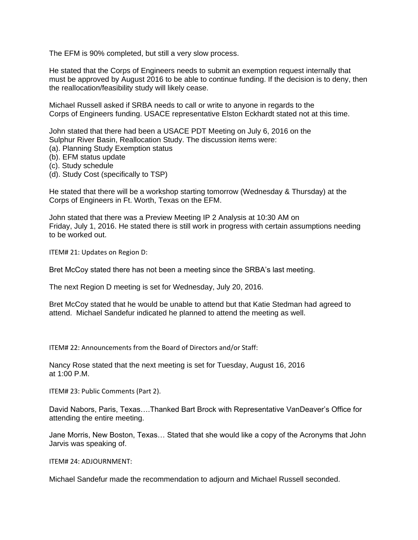The EFM is 90% completed, but still a very slow process.

He stated that the Corps of Engineers needs to submit an exemption request internally that must be approved by August 2016 to be able to continue funding. If the decision is to deny, then the reallocation/feasibility study will likely cease.

Michael Russell asked if SRBA needs to call or write to anyone in regards to the Corps of Engineers funding. USACE representative Elston Eckhardt stated not at this time.

John stated that there had been a USACE PDT Meeting on July 6, 2016 on the Sulphur River Basin, Reallocation Study. The discussion items were:

- (a). Planning Study Exemption status
- (b). EFM status update
- (c). Study schedule
- (d). Study Cost (specifically to TSP)

He stated that there will be a workshop starting tomorrow (Wednesday & Thursday) at the Corps of Engineers in Ft. Worth, Texas on the EFM.

John stated that there was a Preview Meeting IP 2 Analysis at 10:30 AM on Friday, July 1, 2016. He stated there is still work in progress with certain assumptions needing to be worked out.

ITEM# 21: Updates on Region D:

Bret McCoy stated there has not been a meeting since the SRBA's last meeting.

The next Region D meeting is set for Wednesday, July 20, 2016.

Bret McCoy stated that he would be unable to attend but that Katie Stedman had agreed to attend. Michael Sandefur indicated he planned to attend the meeting as well.

ITEM# 22: Announcements from the Board of Directors and/or Staff:

Nancy Rose stated that the next meeting is set for Tuesday, August 16, 2016 at 1:00 P.M.

ITEM# 23: Public Comments (Part 2).

David Nabors, Paris, Texas….Thanked Bart Brock with Representative VanDeaver's Office for attending the entire meeting.

Jane Morris, New Boston, Texas… Stated that she would like a copy of the Acronyms that John Jarvis was speaking of.

ITEM# 24: ADJOURNMENT:

Michael Sandefur made the recommendation to adjourn and Michael Russell seconded.